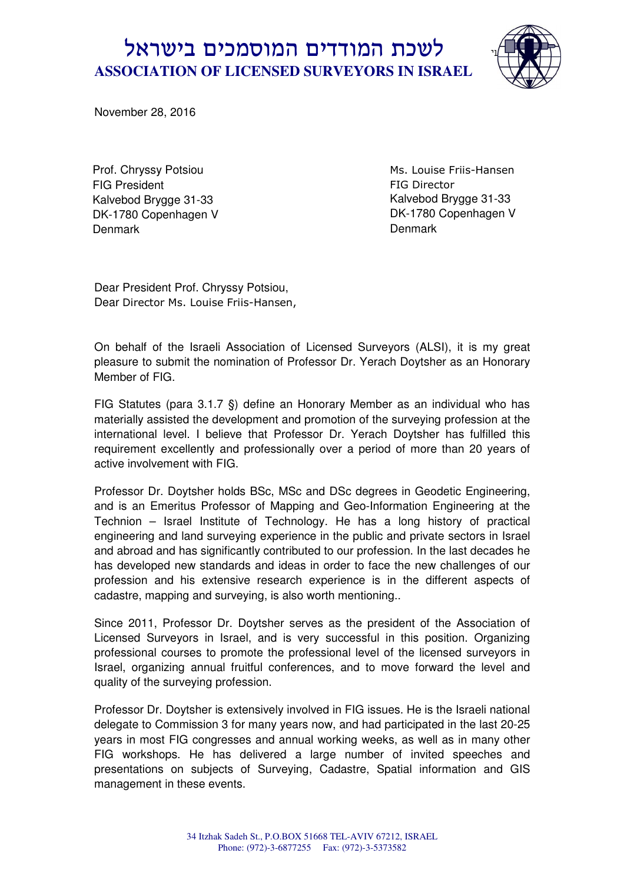## עי לשכת המודדים המוסמכים בישראל  **ASSOCIATION OF LICENSED SURVEYORS IN ISRAEL**



November 28, 2016

Prof. Chryssy Potsiou FIG President Kalvebod Brygge 31-33 DK-1780 Copenhagen V Denmark

Ms. Louise Friis-Hansen FIG Director Kalvebod Brygge 31-33 DK-1780 Copenhagen V **Denmark** 

Dear President Prof. Chryssy Potsiou, Dear Director Ms. Louise Friis-Hansen,

On behalf of the Israeli Association of Licensed Surveyors (ALSI), it is my great pleasure to submit the nomination of Professor Dr. Yerach Doytsher as an Honorary Member of FIG.

FIG Statutes (para 3.1.7 §) define an Honorary Member as an individual who has materially assisted the development and promotion of the surveying profession at the international level. I believe that Professor Dr. Yerach Doytsher has fulfilled this requirement excellently and professionally over a period of more than 20 years of active involvement with FIG.

Professor Dr. Doytsher holds BSc, MSc and DSc degrees in Geodetic Engineering, and is an Emeritus Professor of Mapping and Geo-Information Engineering at the Technion – Israel Institute of Technology. He has a long history of practical engineering and land surveying experience in the public and private sectors in Israel and abroad and has significantly contributed to our profession. In the last decades he has developed new standards and ideas in order to face the new challenges of our profession and his extensive research experience is in the different aspects of cadastre, mapping and surveying, is also worth mentioning..

Since 2011, Professor Dr. Doytsher serves as the president of the Association of Licensed Surveyors in Israel, and is very successful in this position. Organizing professional courses to promote the professional level of the licensed surveyors in Israel, organizing annual fruitful conferences, and to move forward the level and quality of the surveying profession.

Professor Dr. Doytsher is extensively involved in FIG issues. He is the Israeli national delegate to Commission 3 for many years now, and had participated in the last 20-25 years in most FIG congresses and annual working weeks, as well as in many other FIG workshops. He has delivered a large number of invited speeches and presentations on subjects of Surveying, Cadastre, Spatial information and GIS management in these events.